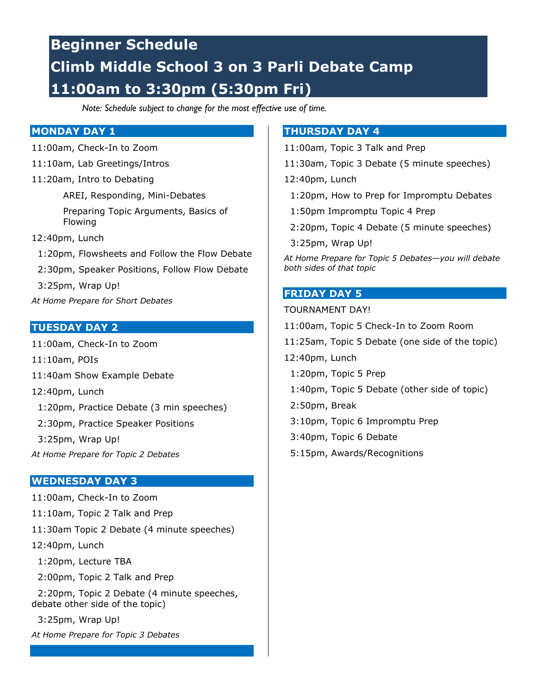## **Beginner Schedule Climb Middle School 3 on 3 Parli Debate Camp 11:00am to 3:30pm (5:30pm Fri)**

*Note: Schedule subject to change for the most effective use of time.*

## **MONDAY DAY 1**

- 11:00am, Check-In to Zoom
- 11:10am, Lab Greetings/Intros
- 11:20am, Intro to Debating

AREI, Responding, Mini-Debates Preparing Topic Arguments, Basics of Flowing

- 12:40pm, Lunch
- 1:20pm, Flowsheets and Follow the Flow Debate
- 2:30pm, Speaker Positions, Follow Flow Debate

3:25pm, Wrap Up!

*At Home Prepare for Short Debates*

## **TUESDAY DAY 2**

- 11:00am, Check-In to Zoom
- 11:10am, POIs
- 11:40am Show Example Debate
- 12:40pm, Lunch
- 1:20pm, Practice Debate (3 min speeches)
- 2:30pm, Practice Speaker Positions
- 3:25pm, Wrap Up!
- *At Home Prepare for Topic 2 Debates*

### **WEDNESDAY DAY 3**

11:00am, Check-In to Zoom 11:10am, Topic 2 Talk and Prep 11:30am Topic 2 Debate (4 minute speeches) 12:40pm, Lunch 1:20pm, Lecture TBA 2:00pm, Topic 2 Talk and Prep 2:20pm, Topic 2 Debate (4 minute speeches, debate other side of the topic) 3:25pm, Wrap Up! *At Home Prepare for Topic 3 Debates*

### **THURSDAY DAY 4**

- 11:00am, Topic 3 Talk and Prep
- 11:30am, Topic 3 Debate (5 minute speeches)
- 12:40pm, Lunch
- 1:20pm, How to Prep for Impromptu Debates
- 1:50pm Impromptu Topic 4 Prep
- 2:20pm, Topic 4 Debate (5 minute speeches)
- 3:25pm, Wrap Up!

*At Home Prepare for Topic 5 Debates—you will debate both sides of that topic*

### **FRIDAY DAY 5**

#### TOURNAMENT DAY!

- 11:00am, Topic 5 Check-In to Zoom Room
- 11:25am, Topic 5 Debate (one side of the topic)
- 12:40pm, Lunch
	- 1:20pm, Topic 5 Prep
	- 1:40pm, Topic 5 Debate (other side of topic)
- 2:50pm, Break
- 3:10pm, Topic 6 Impromptu Prep
- 3:40pm, Topic 6 Debate
- 5:15pm, Awards/Recognitions